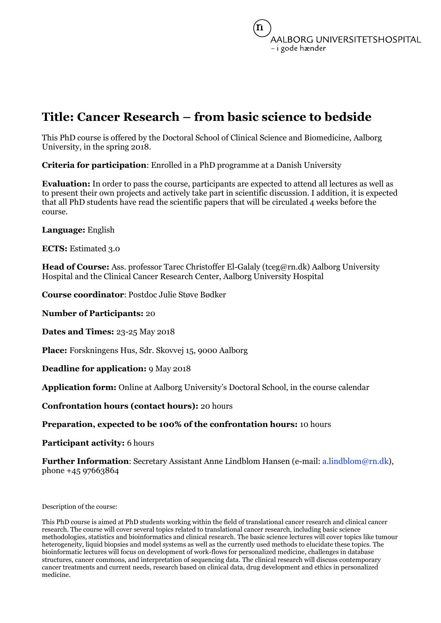# **Title: Cancer Research – from basic science to bedside**

This PhD course is offered by the Doctoral School of Clinical Science and Biomedicine, Aalborg University, in the spring 2018.

**Criteria for participation**: Enrolled in a PhD programme at a Danish University

**Evaluation:** In order to pass the course, participants are expected to attend all lectures as well as to present their own projects and actively take part in scientific discussion. I addition, it is expected that all PhD students have read the scientific papers that will be circulated 4 weeks before the course.

**Language:** English

**ECTS:** Estimated 3.0

**Head of Course:** Ass. professor Tarec Christoffer El-Galaly (tceg@rn.dk) Aalborg University Hospital and the Clinical Cancer Research Center, Aalborg University Hospital

**Course coordinator**: Postdoc Julie Støve Bødker

**Number of Participants:** 20

**Dates and Times:** 23-25 May 2018

**Place:** Forskningens Hus, Sdr. Skovvej 15, 9000 Aalborg

**Deadline for application:** 9 May 2018

**Application form:** Online at Aalborg University's Doctoral School, in the course calendar

**Confrontation hours (contact hours):** 20 hours

### **Preparation, expected to be 100% of the confrontation hours:** 10 hours

**Participant activity:** 6 hours

**Further Information**: Secretary Assistant Anne Lindblom Hansen (e-mail: a.lindblom@rn.dk), phone +45 97663864

Description of the course:

This PhD course is aimed at PhD students working within the field of translational cancer research and clinical cancer research. The course will cover several topics related to translational cancer research, including basic science methodologies, statistics and bioinformatics and clinical research. The basic science lectures will cover topics like tumour heterogeneity, liquid biopsies and model systems as well as the currently used methods to elucidate these topics. The bioinformatic lectures will focus on development of work-flows for personalized medicine, challenges in database structures, cancer commons, and interpretation of sequencing data. The clinical research will discuss contemporary cancer treatments and current needs, research based on clinical data, drug development and ethics in personalized medicine.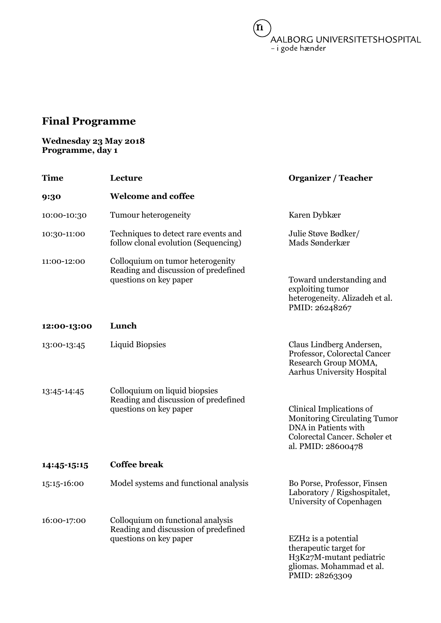$(n)$ /<br>AALBORG UNIVERSITETSHOSPITAL<br>– i gode hænder

# **Final Programme**

## **Wednesday 23 May 2018 Programme, day 1**

| <b>Time</b> | Lecture                                                                                             | <b>Organizer / Teacher</b>                                                                                                                     |
|-------------|-----------------------------------------------------------------------------------------------------|------------------------------------------------------------------------------------------------------------------------------------------------|
| 9:30        | <b>Welcome and coffee</b>                                                                           |                                                                                                                                                |
| 10:00-10:30 | Tumour heterogeneity                                                                                | Karen Dybkær                                                                                                                                   |
| 10:30-11:00 | Techniques to detect rare events and<br>follow clonal evolution (Sequencing)                        | Julie Støve Bødker/<br>Mads Sønderkær                                                                                                          |
| 11:00-12:00 | Colloquium on tumor heterogenity<br>Reading and discussion of predefined<br>questions on key paper  | Toward understanding and<br>exploiting tumor<br>heterogeneity. Alizadeh et al.<br>PMID: 26248267                                               |
| 12:00-13:00 | Lunch                                                                                               |                                                                                                                                                |
| 13:00-13:45 | <b>Liquid Biopsies</b>                                                                              | Claus Lindberg Andersen,<br>Professor, Colorectal Cancer<br>Research Group MOMA,<br><b>Aarhus University Hospital</b>                          |
| 13:45-14:45 | Colloquium on liquid biopsies<br>Reading and discussion of predefined<br>questions on key paper     | Clinical Implications of<br><b>Monitoring Circulating Tumor</b><br>DNA in Patients with<br>Colorectal Cancer. Schøler et<br>al. PMID: 28600478 |
| 14:45-15:15 | <b>Coffee break</b>                                                                                 |                                                                                                                                                |
| 15:15-16:00 | Model systems and functional analysis                                                               | Bo Porse, Professor, Finsen<br>Laboratory / Rigshospitalet,<br>University of Copenhagen                                                        |
| 16:00-17:00 | Colloquium on functional analysis<br>Reading and discussion of predefined<br>questions on key paper | EZH <sub>2</sub> is a potential<br>therapeutic target for<br>H3K27M-mutant pediatric<br>gliomas. Mohammad et al.<br>PMID: 28263309             |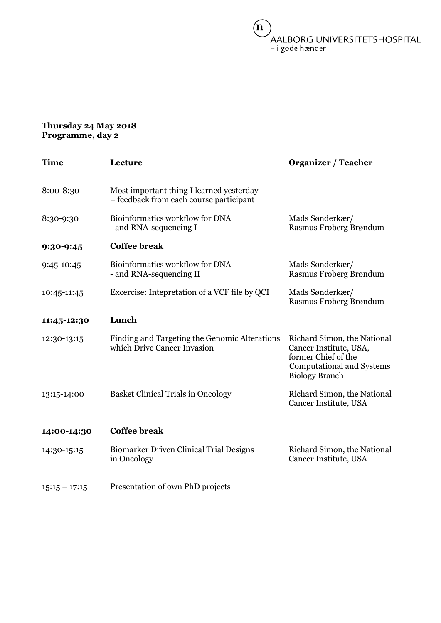$(n)$ /<br>AALBORG UNIVERSITETSHOSPITAL<br>– i gode hænder

### **Thursday 24 May 2018 Programme, day 2**

| Time            | Lecture                                                                             | <b>Organizer / Teacher</b>                                                                                                                |
|-----------------|-------------------------------------------------------------------------------------|-------------------------------------------------------------------------------------------------------------------------------------------|
| 8:00-8:30       | Most important thing I learned yesterday<br>- feedback from each course participant |                                                                                                                                           |
| 8:30-9:30       | Bioinformatics workflow for DNA<br>- and RNA-sequencing I                           | Mads Sønderkær/<br>Rasmus Froberg Brøndum                                                                                                 |
| 9:30-9:45       | <b>Coffee break</b>                                                                 |                                                                                                                                           |
| 9:45-10:45      | Bioinformatics workflow for DNA<br>- and RNA-sequencing II                          | Mads Sønderkær/<br>Rasmus Froberg Brøndum                                                                                                 |
| 10:45-11:45     | Excercise: Intepretation of a VCF file by QCI                                       | Mads Sønderkær/<br>Rasmus Froberg Brøndum                                                                                                 |
| 11:45-12:30     | Lunch                                                                               |                                                                                                                                           |
| 12:30-13:15     | Finding and Targeting the Genomic Alterations<br>which Drive Cancer Invasion        | Richard Simon, the National<br>Cancer Institute, USA,<br>former Chief of the<br><b>Computational and Systems</b><br><b>Biology Branch</b> |
| 13:15-14:00     | <b>Basket Clinical Trials in Oncology</b>                                           | Richard Simon, the National<br>Cancer Institute, USA                                                                                      |
| 14:00-14:30     | <b>Coffee break</b>                                                                 |                                                                                                                                           |
| 14:30-15:15     | <b>Biomarker Driven Clinical Trial Designs</b><br>in Oncology                       | Richard Simon, the National<br>Cancer Institute, USA                                                                                      |
| $15:15 - 17:15$ | Presentation of own PhD projects                                                    |                                                                                                                                           |